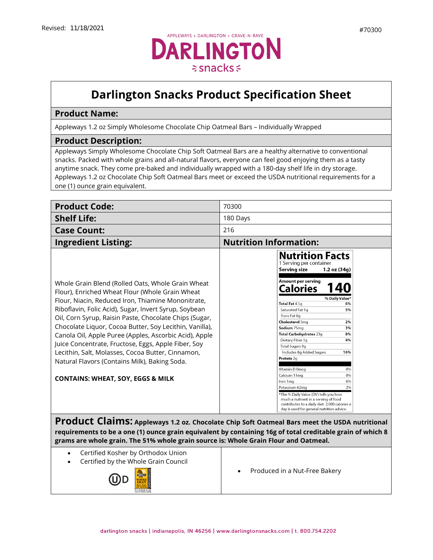## **Darlington Snacks Product Specification Sheet**

## **Product Name:**

Appleways 1.2 oz Simply Wholesome Chocolate Chip Oatmeal Bars – Individually Wrapped

## **Product Description:**

Appleways Simply Wholesome Chocolate Chip Soft Oatmeal Bars are a healthy alternative to conventional snacks. Packed with whole grains and all-natural flavors, everyone can feel good enjoying them as a tasty anytime snack. They come pre-baked and individually wrapped with a 180-day shelf life in dry storage. Appleways 1.2 oz Chocolate Chip Soft Oatmeal Bars meet or exceed the USDA nutritional requirements for a one (1) ounce grain equivalent.

| <b>Product Code:</b>                                                                                                                                                                                                                                                                                                                                                                                                                                                                                                                                                                                            | 70300                                                                                                                                                                                                                                                                                                                                                                                          |  |
|-----------------------------------------------------------------------------------------------------------------------------------------------------------------------------------------------------------------------------------------------------------------------------------------------------------------------------------------------------------------------------------------------------------------------------------------------------------------------------------------------------------------------------------------------------------------------------------------------------------------|------------------------------------------------------------------------------------------------------------------------------------------------------------------------------------------------------------------------------------------------------------------------------------------------------------------------------------------------------------------------------------------------|--|
| <b>Shelf Life:</b>                                                                                                                                                                                                                                                                                                                                                                                                                                                                                                                                                                                              | 180 Days                                                                                                                                                                                                                                                                                                                                                                                       |  |
| <b>Case Count:</b>                                                                                                                                                                                                                                                                                                                                                                                                                                                                                                                                                                                              | 216                                                                                                                                                                                                                                                                                                                                                                                            |  |
| <b>Ingredient Listing:</b>                                                                                                                                                                                                                                                                                                                                                                                                                                                                                                                                                                                      | <b>Nutrition Information:</b>                                                                                                                                                                                                                                                                                                                                                                  |  |
|                                                                                                                                                                                                                                                                                                                                                                                                                                                                                                                                                                                                                 | <b>Nutrition Facts</b><br>1 Serving per container<br>Serving size<br>1.2 oz (34q)                                                                                                                                                                                                                                                                                                              |  |
| Whole Grain Blend (Rolled Oats, Whole Grain Wheat<br>Flour), Enriched Wheat Flour (Whole Grain Wheat<br>Flour, Niacin, Reduced Iron, Thiamine Mononitrate,<br>Riboflavin, Folic Acid), Sugar, Invert Syrup, Soybean<br>Oil, Corn Syrup, Raisin Paste, Chocolate Chips (Sugar,<br>Chocolate Liquor, Cocoa Butter, Soy Lecithin, Vanilla),<br>Canola Oil, Apple Puree (Apples, Ascorbic Acid), Apple<br>Juice Concentrate, Fructose, Eggs, Apple Fiber, Soy<br>Lecithin, Salt, Molasses, Cocoa Butter, Cinnamon,<br>Natural Flavors (Contains Milk), Baking Soda.<br><b>CONTAINS: WHEAT, SOY, EGGS &amp; MILK</b> | Amount per serving<br>Calories<br>% Daily Value*<br>Total Fat 4.5g<br>6%<br>Saturated Fat 1q<br>5%<br>Trans Fat 0q<br><b>Cholesterol 5mg</b><br>2%<br>Sodium 75mg<br>3%<br>Total Carbohydrates 23g<br>8%<br>Dietary Fiber 1q<br>4%<br>Total Sugars 9g<br>Includes 8g Added Sugars<br>16%<br>Protein 2a<br>Vitamin D 0mcg<br>0%<br>Calcium 11mg<br>0%<br>Iron 1mg<br>6%<br>Potassium 62mg<br>2% |  |
| *The % Daily Value (DV) tells you how<br>much a nutrient in a serving of food<br>contributes to a daily diet. 2,000 calories a<br>day is used for general nutrition advice.<br>Product Claims: Appleways 1.2 oz. Chocolate Chip Soft Oatmeal Bars meet the USDA nutritional<br>requirements to be a one (1) ounce grain equivalent by containing 16g of total creditable grain of which 8<br>grams are whole grain. The 51% whole grain source is: Whole Grain Flour and Oatmeal.                                                                                                                               |                                                                                                                                                                                                                                                                                                                                                                                                |  |

- Certified Kosher by Orthodox Union
- Certified by the Whole Grain Council



• [Produced](https://darlingtonfarms.serverdata.net/Marketing/Product/Internal%20Spec%20Sheets%20DO%20NOT%20USE!/Vending%20Appleways%20Spec%20Sheet%20-%2070120%20-%201%202%20oz%20-%20Apple%20Oatmeal.doc) in a Nut-Free Bakery